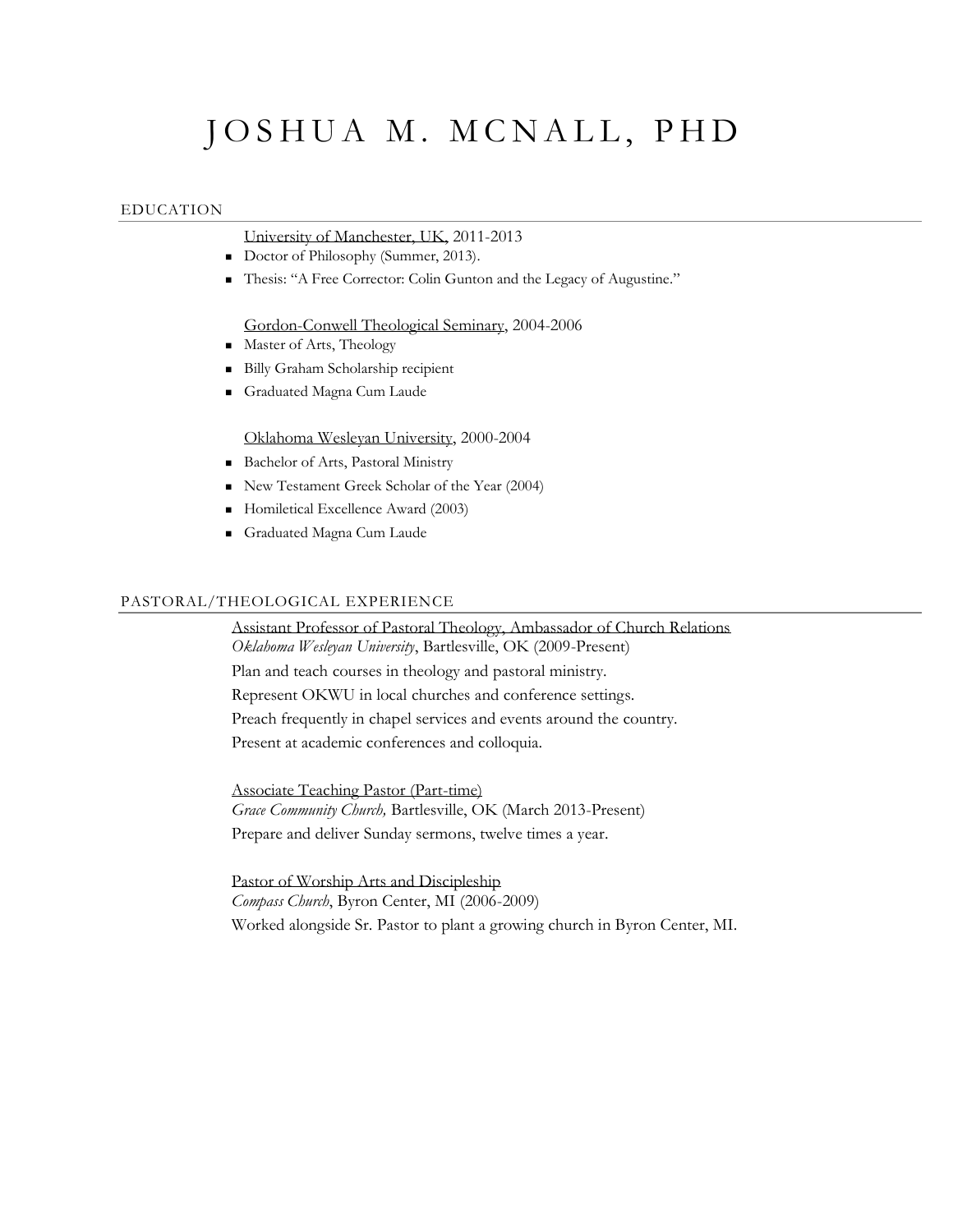# JOSHUA M. MCNALL, PHD

## EDUCATION

University of Manchester, UK, 2011-2013

- Doctor of Philosophy (Summer, 2013).
- Thesis: "A Free Corrector: Colin Gunton and the Legacy of Augustine."

Gordon-Conwell Theological Seminary, 2004-2006

- Master of Arts, Theology
- Billy Graham Scholarship recipient
- Graduated Magna Cum Laude

Oklahoma Wesleyan University, 2000-2004

- Bachelor of Arts, Pastoral Ministry
- New Testament Greek Scholar of the Year (2004)
- Homiletical Excellence Award (2003)
- Graduated Magna Cum Laude

## PASTORAL/THEOLOGICAL EXPERIENCE

Assistant Professor of Pastoral Theology, Ambassador of Church Relations *Oklahoma Wesleyan University*, Bartlesville, OK (2009-Present) Plan and teach courses in theology and pastoral ministry. Represent OKWU in local churches and conference settings. Preach frequently in chapel services and events around the country. Present at academic conferences and colloquia.

Associate Teaching Pastor (Part-time) *Grace Community Church,* Bartlesville, OK (March 2013-Present) Prepare and deliver Sunday sermons, twelve times a year.

Pastor of Worship Arts and Discipleship *Compass Church*, Byron Center, MI (2006-2009) Worked alongside Sr. Pastor to plant a growing church in Byron Center, MI.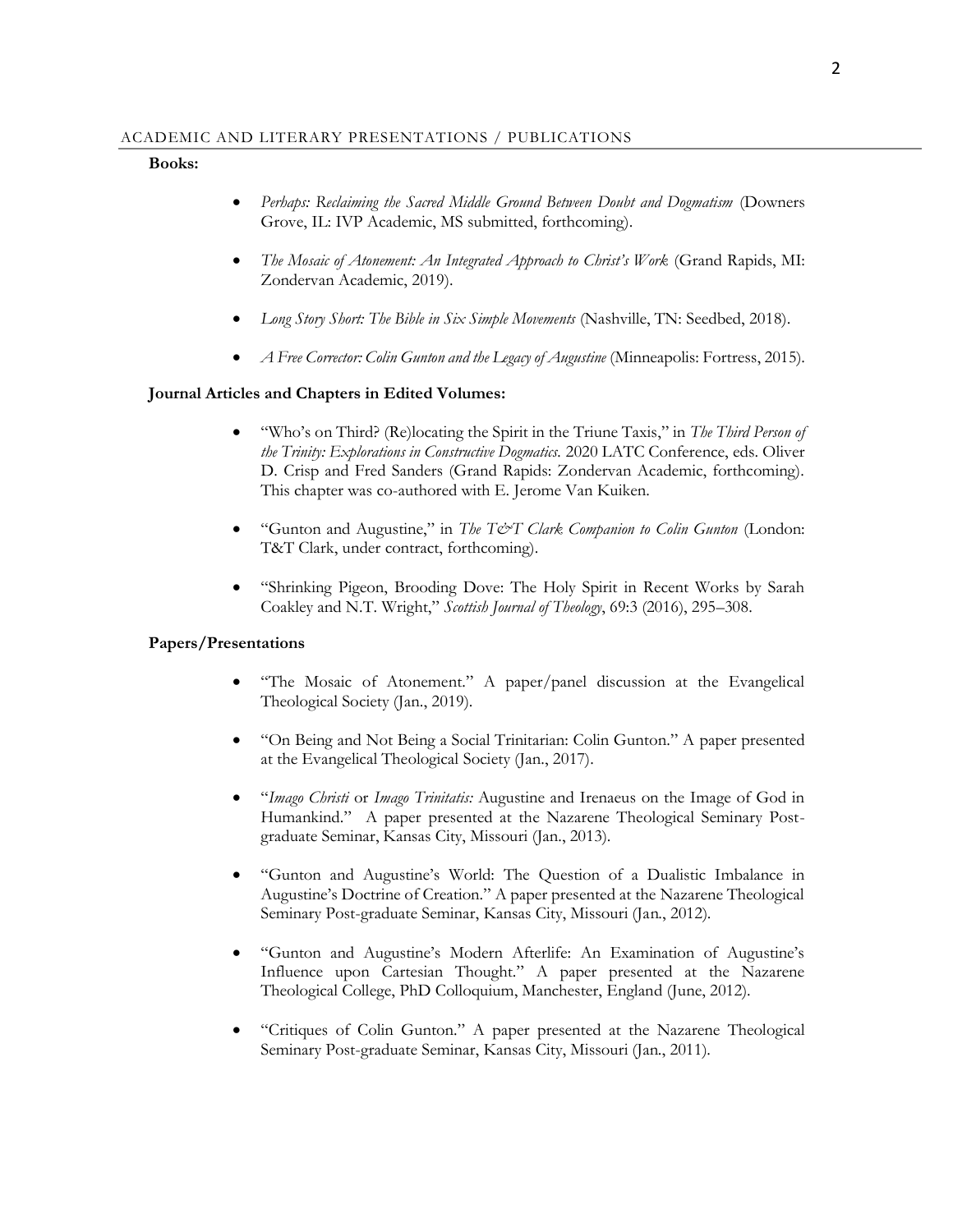#### **Books:**

- *Perhaps: Reclaiming the Sacred Middle Ground Between Doubt and Dogmatism* (Downers Grove, IL: IVP Academic, MS submitted, forthcoming).
- *The Mosaic of Atonement: An Integrated Approach to Christ's Work* (Grand Rapids, MI: Zondervan Academic, 2019).
- *Long Story Short: The Bible in Six Simple Movements* (Nashville, TN: Seedbed, 2018).
- *A Free Corrector: Colin Gunton and the Legacy of Augustine* (Minneapolis: Fortress, 2015).

## **Journal Articles and Chapters in Edited Volumes:**

- "Who's on Third? (Re)locating the Spirit in the Triune Taxis," in *The Third Person of the Trinity: Explorations in Constructive Dogmatics.* 2020 LATC Conference, eds. Oliver D. Crisp and Fred Sanders (Grand Rapids: Zondervan Academic, forthcoming). This chapter was co-authored with E. Jerome Van Kuiken.
- "Gunton and Augustine," in *The T&T Clark Companion to Colin Gunton* (London: T&T Clark, under contract, forthcoming).
- "Shrinking Pigeon, Brooding Dove: The Holy Spirit in Recent Works by Sarah Coakley and N.T. Wright," *Scottish Journal of Theology*, 69:3 (2016), 295–308.

## **Papers/Presentations**

- "The Mosaic of Atonement." A paper/panel discussion at the Evangelical Theological Society (Jan., 2019).
- "On Being and Not Being a Social Trinitarian: Colin Gunton." A paper presented at the Evangelical Theological Society (Jan., 2017).
- "*Imago Christi* or *Imago Trinitatis:* Augustine and Irenaeus on the Image of God in Humankind." A paper presented at the Nazarene Theological Seminary Postgraduate Seminar, Kansas City, Missouri (Jan., 2013).
- "Gunton and Augustine's World: The Question of a Dualistic Imbalance in Augustine's Doctrine of Creation." A paper presented at the Nazarene Theological Seminary Post-graduate Seminar, Kansas City, Missouri (Jan., 2012).
- "Gunton and Augustine's Modern Afterlife: An Examination of Augustine's Influence upon Cartesian Thought." A paper presented at the Nazarene Theological College, PhD Colloquium, Manchester, England (June, 2012).
- "Critiques of Colin Gunton." A paper presented at the Nazarene Theological Seminary Post-graduate Seminar, Kansas City, Missouri (Jan., 2011).